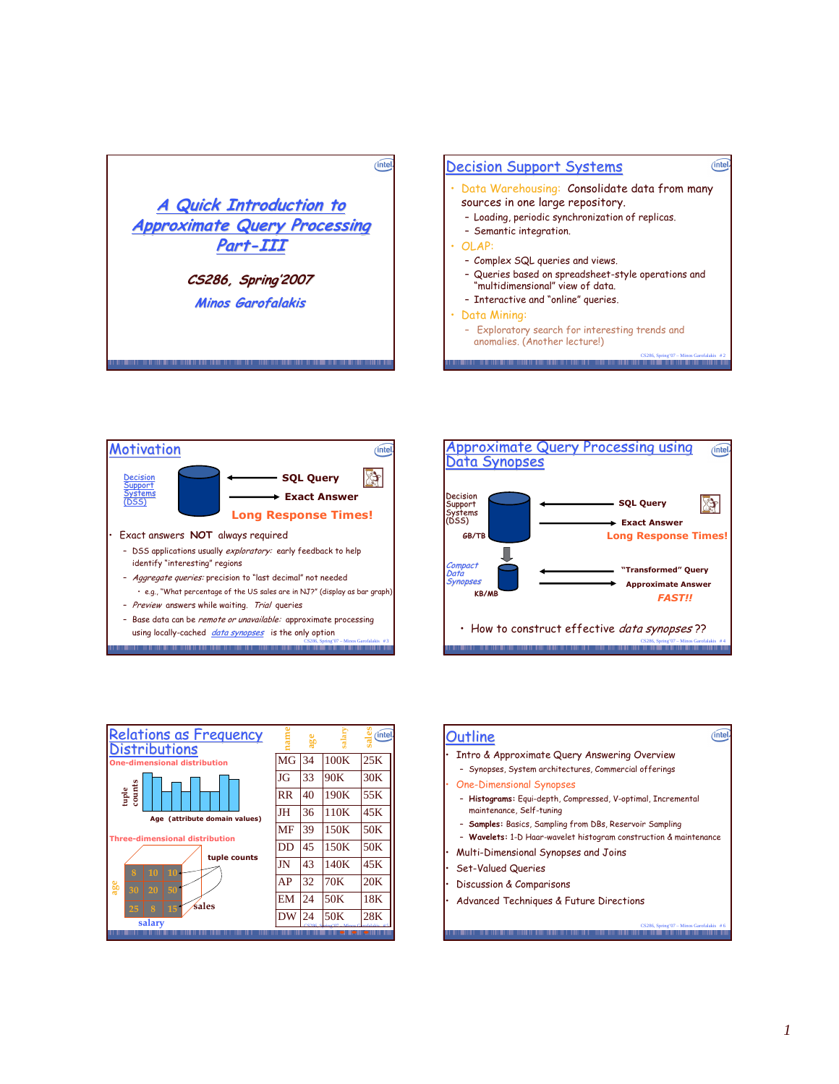







| <b>Relations as Frequency</b><br><b>Distributions</b>                  |           | age |      | (intel          |
|------------------------------------------------------------------------|-----------|-----|------|-----------------|
| <b>One-dimensional distribution</b>                                    | <b>MG</b> | 34  | 100K | 25K             |
|                                                                        | JG        | 33  | 90K  | 30K             |
| tuple<br>counts                                                        | <b>RR</b> | 40  | 190K | 55K             |
| Age (attribute domain values)<br><b>Three-dimensional distribution</b> | JH        | 36  | 110K | 45K             |
|                                                                        | MF        | 39  | 150K | 50 <sub>K</sub> |
|                                                                        | DD        | 45  | 150K | 50 <sub>K</sub> |
| tuple counts                                                           | JN        | 43  | 140K | 45K             |
| я<br>10<br>10<br>age<br>50<br>30<br>20                                 | AP        | 32  | 70K  | 20K             |
| śales                                                                  | EM        | 24  | 50K  | 18K             |
| 15<br>25<br>8<br>salary                                                | DW        | 24  | 50K  | 28K             |
|                                                                        |           |     |      |                 |

| Outline                                                                                  |  |
|------------------------------------------------------------------------------------------|--|
| · Intro & Approximate Query Answering Overview                                           |  |
| - Synopses, System architectures, Commercial offerings                                   |  |
| • One-Dimensional Synopses                                                               |  |
| - Histograms: Equi-depth, Compressed, V-optimal, Incremental<br>maintenance, Self-tuning |  |
| - Samples: Basics, Sampling from DBs, Reservoir Sampling                                 |  |
| - Wavelets: 1-D Haar-wavelet histogram construction & maintenance                        |  |
| • Multi-Dimensional Synopses and Joins                                                   |  |
| • Set-Valued Queries                                                                     |  |
| • Discussion & Comparisons                                                               |  |

CS286, Spring'07 – Minos Garofalakis # 6

• Advanced Techniques & Future Directions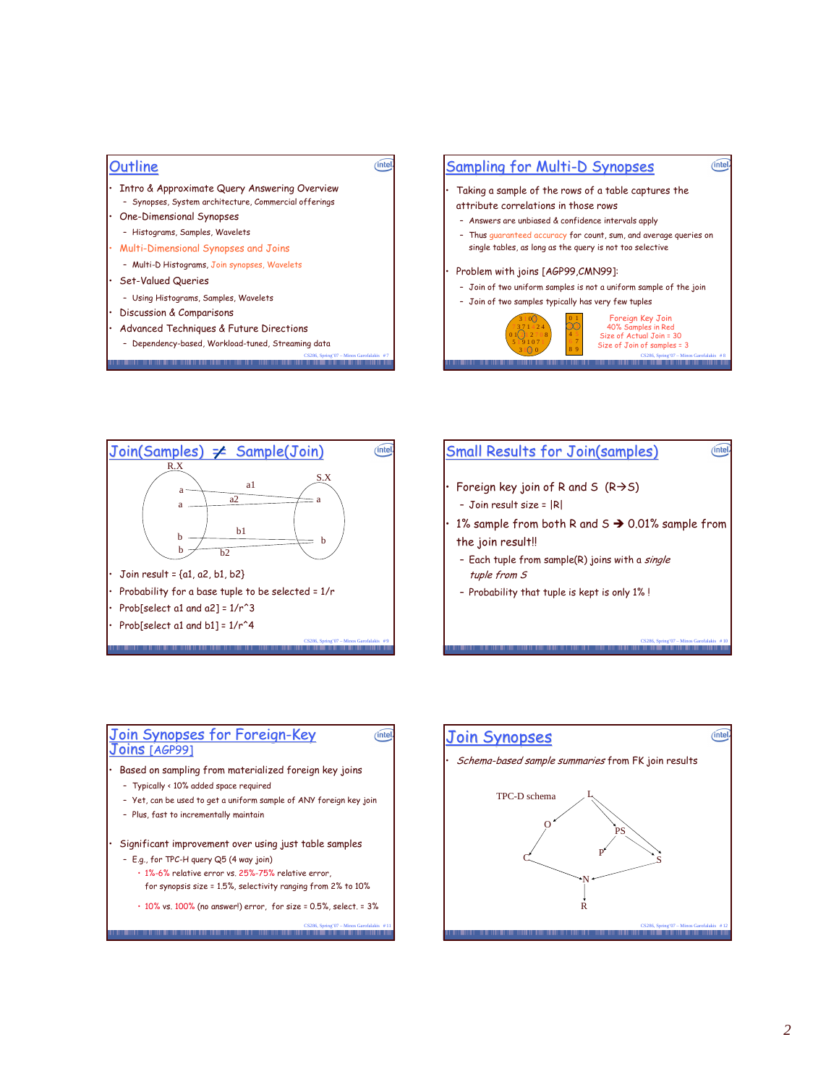| Outline<br>nte                                        | οal |
|-------------------------------------------------------|-----|
| Intro & Approximate Query Answering Overview          | Т٥  |
| - Synopses, System architecture, Commercial offerings | at  |
| One-Dimensional Synopses                              |     |
| - Histograms, Samples, Wavelets                       |     |
| Multi-Dimensional Synopses and Joins                  |     |
| - Multi-D Histograms, Join synopses, Wavelets         | Pr  |
| <b>Set-Valued Queries</b>                             |     |
| - Using Histograms, Samples, Wavelets                 |     |
| Discussion & Comparisons                              |     |
| Advanced Techniques & Future Directions               |     |
| - Dependency-based, Workload-tuned, Streaming data    |     |
| Spring'07 - Minos Garofalakis #7                      |     |
|                                                       |     |







# $(intel)$ <u>Join Synopses for Foreign-Key</u> 4 ? @ !AAB  $\cdot$   $\,$  Based on sampling from materialized foreign key joins - Typically < 10% added space required – Yet, can be used to get a uniform sample of ANY foreign key join - Plus, fast to incrementally maintain  $\cdot$  Significant improvement over using just table samples - E.g., for TPC-H query Q5 (4 way join)  $\cdot$  1%-6% relative error vs. 25%-75% relative error, for synopsis size = 1.5%, selectivity ranging from 2% to 10%  $\cdot$  10% vs. 100% (no answer!) error, for size = 0.5%, select. = 3%

CS286, Spring'07 – Minos Garofalakis # 11

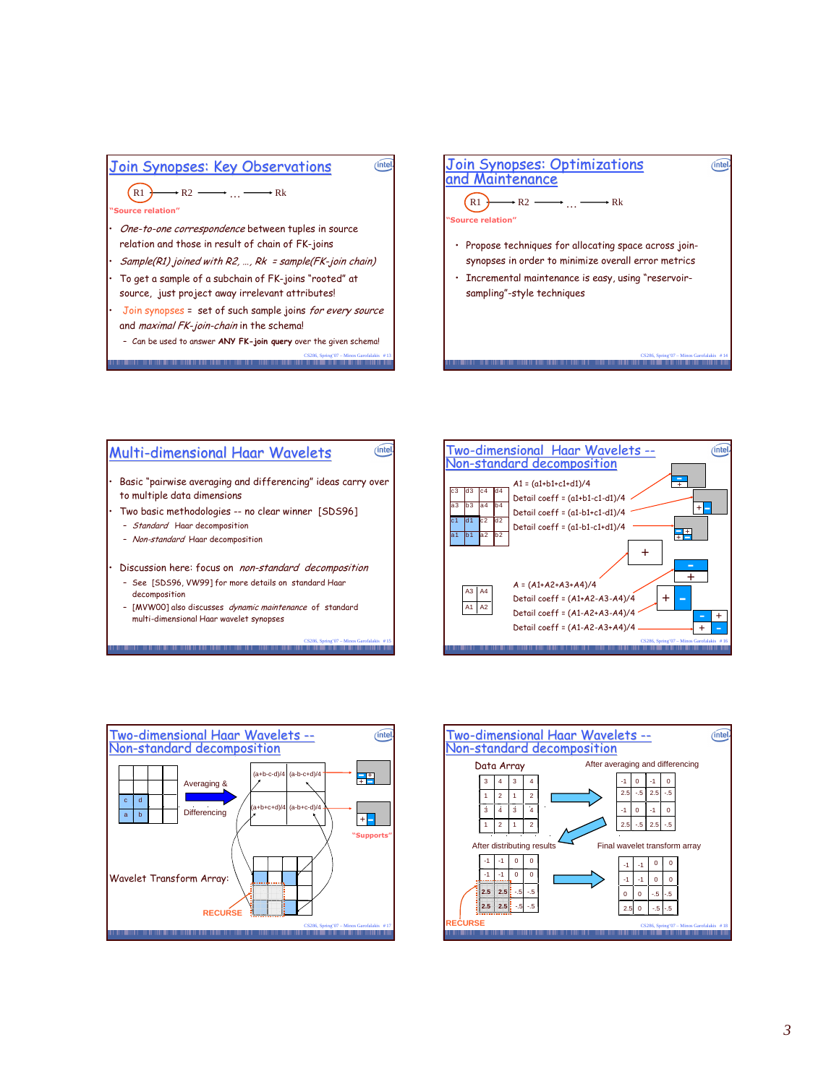

- Join synopses = set of such sample joins *for every source* and *maximal FK-join-chain* in the schema!
	- Can be used to answer **ANY FK-join query** over the given schema!
	- CS286, Spring'07 Minos Garofalakis # 13





- See [SDS96, VW99] for more details on standard Haar decomposition

CS286, Spring'07 – Minos Garofalakis # 15

- [MVW00]also discusses *dynamic maintenance* of standard multi-dimensional Haar wavelet synopses





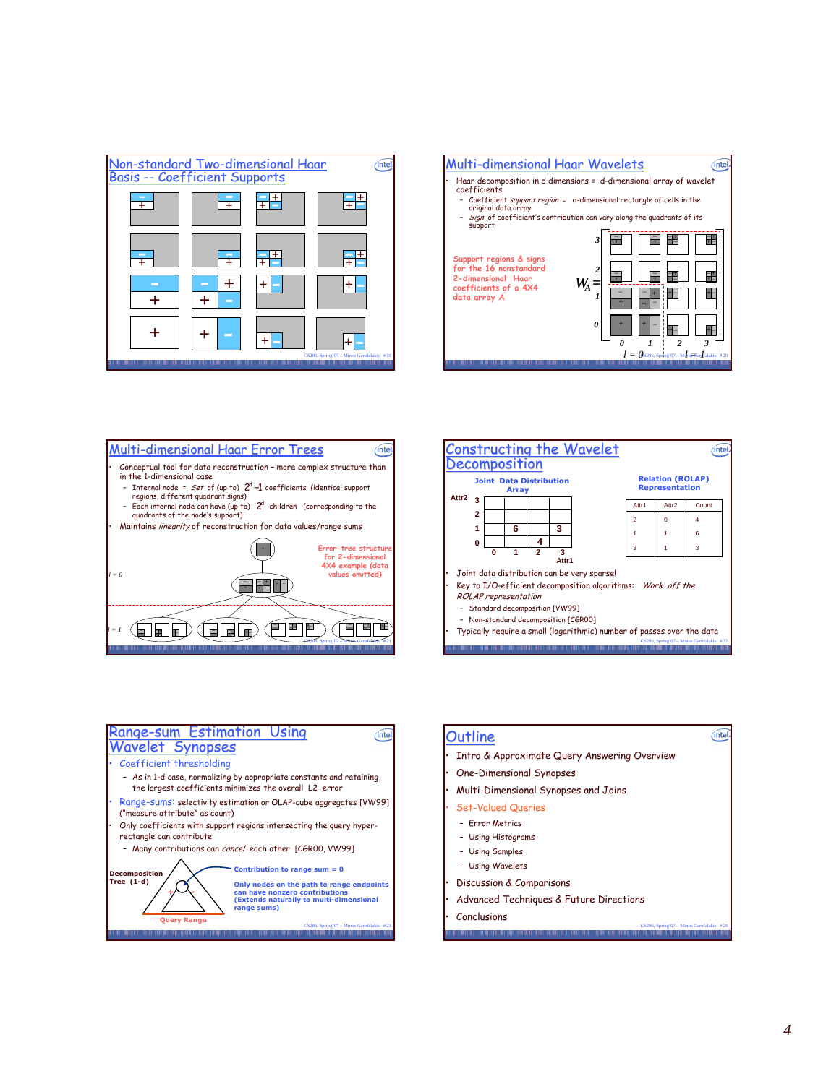









### <u>Outline</u>

- Intro & Approximate Query Answering Overview
- One-Dimensional Synopses
- $\cdot$  Multi-Dimensional Synopses and Joins

### • Set-Valued Queries

- Error Metrics
- Using Histograms
- Using Samples
- Using Wavelets
- Discussion & Comparisons
- Advanced Techniques & Future Directions
- $Conclusions$

 $(intel)$